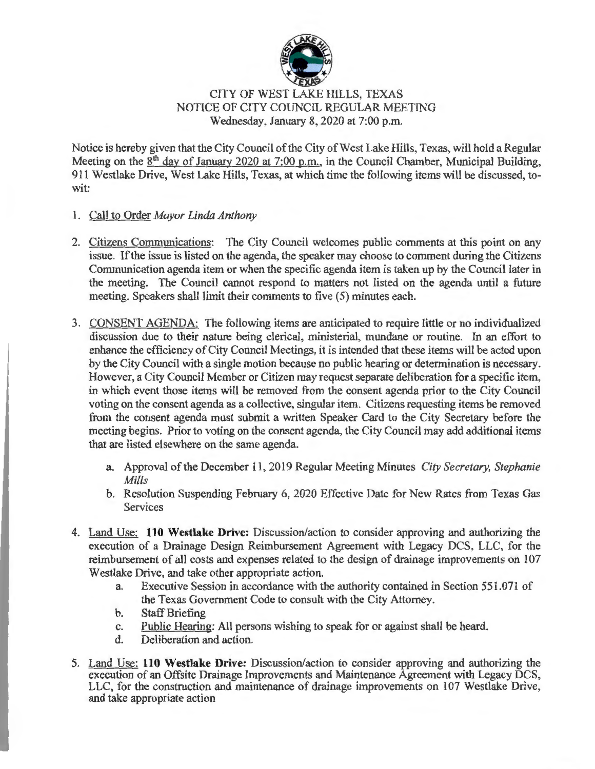

## CITY OF WEST LAKE HILLS, TEXAS NOTICE OF CITY COUNCIL REGULAR MEETING Wednesday, January 8, 2020 at 7:00 p.m.

Notice is hereby given that the City Council of the City of West Lake Hills, Texas, will hold a Regular Meeting on the  $8<sup>th</sup>$  day of January 2020 at 7:00 p.m., in the Council Chamber, Municipal Building, 911 Westlake Drive, West Lake Hills, Texas, at which time the following items will be discussed, towit:

- **1.** Call to Order *Mayor Linda Anthony*
- 2. Citizens Communications: The City Council welcomes public comments at this point on any issue. If the issue is listed on the agenda, the speaker may choose to comment during the Citizens Communication agenda item or when the specific agenda item is taken up by the Council later in the meeting. The Council cannot respond to matters not listed on the agenda until a future meeting. Speakers shall limit their comments to five (5) minutes each.
- 3. CONSENT AGENDA: The following items are anticipated to require little or no individualized discussion due to their nature being clerical, ministerial, mundane or routine. In an effort to enhance the efficiency of City Council Meetings, it is intended that these items will be acted upon by the City Council with a single motion because no public hearing or determination is necessary. However, a City Council Member or Citizen may request separate deliberation for a specific item, in which event those items will be removed from the consent agenda prior to the City Council voting on the consent agenda as a collective, singular item. Citizens requesting items be removed from the consent agenda must submit a written Speaker Card to the City Secretary before the meeting begins. Prior to voting on the consent agenda, the City Council may add additional items that are listed elsewhere on the same agenda.
	- a. Approval of the December 11 , 2019 Regular Meeting Minutes *City Secretary, Stephanie Mills*
	- b. Resolution Suspending February 6, 2020 Effective Date for New Rates from Texas Gas Services
- 4. Land Use: **110 Westlake Drive:** Discussion/action to consider approving and authorizing the execution of a Drainage Design Reimbursement Agreement with Legacy DCS, LLC, for the reimbursement of all costs and expenses related to the design of drainage improvements on 107 Westlake Drive, and take other appropriate action.
	- a. Executive Session in accordance with the authority contained in Section 551.071 of the Texas Government Code to consult with the City Attorney.
	- b. Staff Briefing
	- c. Public Hearing: All persons wishing to speak for or against shall be heard.
	- d. Deliberation and action.
- 5. Land Use: **110 Westlake Drive:** Discussion/action to consider approving and authorizing the execution of an Offsite Drainage Improvements and Maintenance Agreement with Legacy DCS, LLC, for the construction and maintenance of drainage improvements on 107 Westlake Drive, and take appropriate action